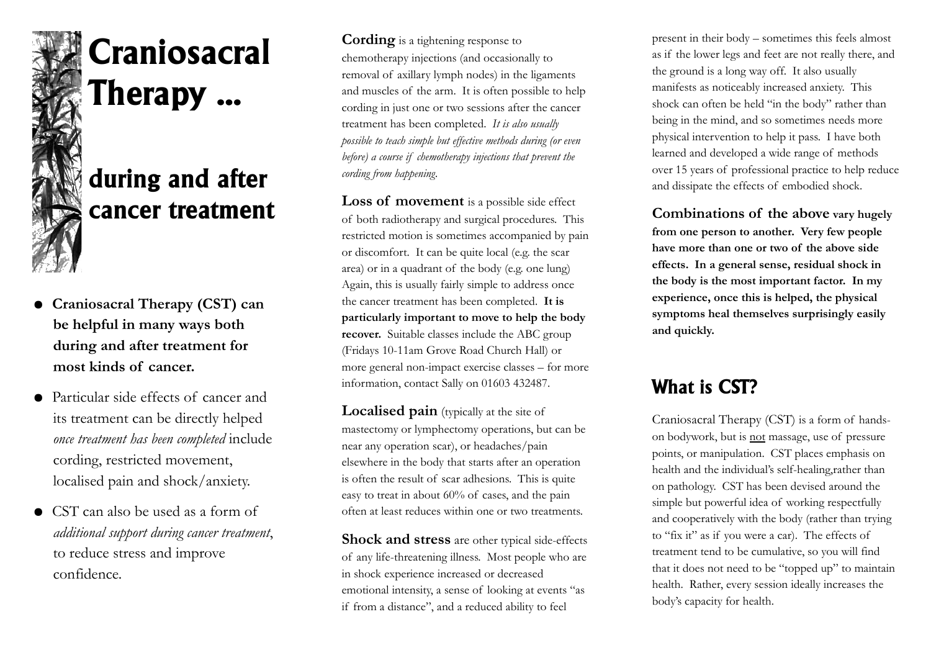

# **Craniosacral Therapy …**

## **during and after cancer treatment**

- **Craniosacral Therapy (CST) can be helpful in many ways both during and after treatment for most kinds of cancer.**
- Particular side effects of cancer and its treatment can be directly helped *once treatment has been completed* include cording, restricted movement, localised pain and shock/anxiety.
- CST can also be used as a form of *additional support during cancer treatment*, to reduce stress and improve confidence.

**Cording** is a tightening response to chemotherapy injections (and occasionally to removal of axillary lymph nodes) in the ligaments and muscles of the arm. It is often possible to help cording in just one or two sessions after the cancer treatment has been completed. *It is also usually possible to teach simple but effective methods during (or even before) a course if chemotherapy injections that prevent the cording from happening.*

**Loss of movement** is a possible side effect of both radiotherapy and surgical procedures. This restricted motion is sometimes accompanied by pain or discomfort. It can be quite local (e.g. the scar area) or in a quadrant of the body (e.g. one lung) Again, this is usually fairly simple to address once the cancer treatment has been completed. **It is particularly important to move to help the body recover.** Suitable classes include the ABC group (Fridays 10-11am Grove Road Church Hall) or more general non-impact exercise classes – for more information, contact Sally on 01603 432487.

**Localised pain** (typically at the site of mastectomy or lymphectomy operations, but can be near any operation scar), or headaches/pain elsewhere in the body that starts after an operation is often the result of scar adhesions. This is quite easy to treat in about 60% of cases, and the pain often at least reduces within one or two treatments.

**Shock and stress** are other typical side-effects of any life-threatening illness. Most people who are in shock experience increased or decreased emotional intensity, a sense of looking at events "as if from a distance", and a reduced ability to feel

present in their body – sometimes this feels almost as if the lower legs and feet are not really there, and the ground is a long way off. It also usually manifests as noticeably increased anxiety. This shock can often be held "in the body" rather than being in the mind, and so sometimes needs more physical intervention to help it pass. I have both learned and developed a wide range of methods over 15 years of professional practice to help reduce and dissipate the effects of embodied shock.

**Combinations of the above vary hugely from one person to another. Very few people have more than one or two of the above side effects. In a general sense, residual shock in the body is the most important factor. In my experience, once this is helped, the physical symptoms heal themselves surprisingly easily and quickly.**

### **What is CST?**

Craniosacral Therapy (CST) is a form of handson bodywork, but is not massage, use of pressure points, or manipulation. CST places emphasis on health and the individual's self-healing,rather than on pathology. CST has been devised around the simple but powerful idea of working respectfully and cooperatively with the body (rather than trying to "fix it" as if you were a car). The effects of treatment tend to be cumulative, so you will find that it does not need to be "topped up" to maintain health. Rather, every session ideally increases the body's capacity for health.